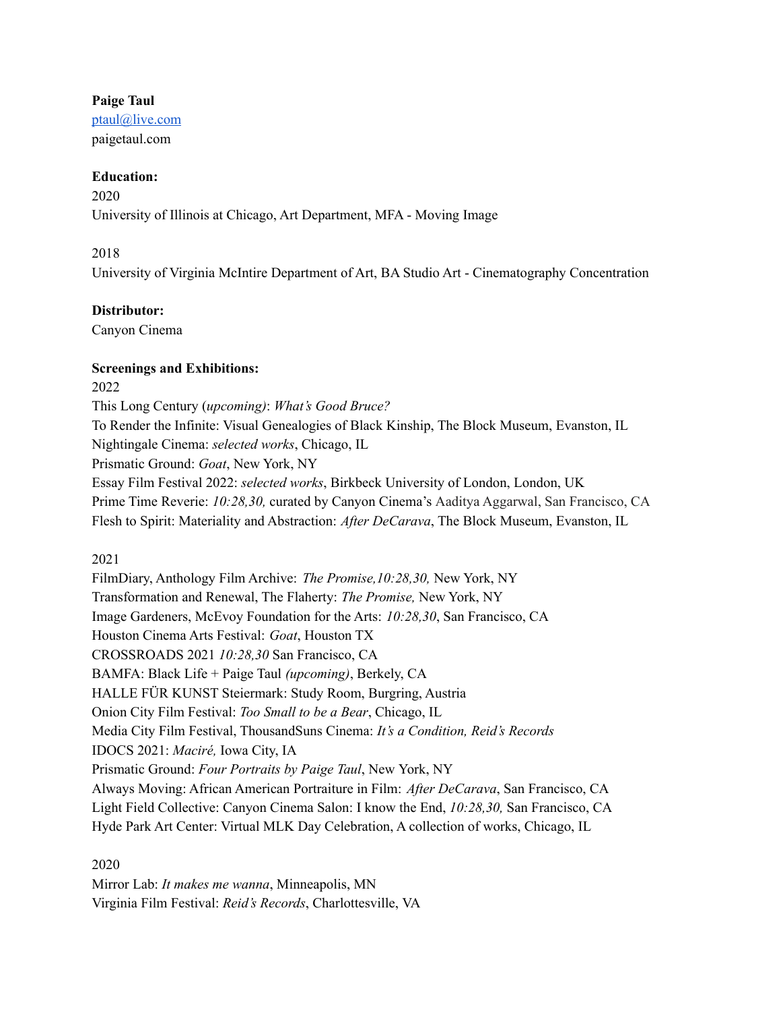## **Paige Taul**

[ptaul@live.com](mailto:ptaul@live.com) paigetaul.com

## **Education:**

2020 University of Illinois at Chicago, Art Department, MFA - Moving Image

# 2018

University of Virginia McIntire Department of Art, BA Studio Art - Cinematography Concentration

## **Distributor:**

Canyon Cinema

## **Screenings and Exhibitions:**

2022

This Long Century (*upcoming)*: *What's Good Bruce?*

To Render the Infinite: Visual Genealogies of Black Kinship, The Block Museum, Evanston, IL

Nightingale Cinema: *selected works*, Chicago, IL

Prismatic Ground: *Goat*, New York, NY

Essay Film Festival 2022: *selected works*, Birkbeck University of London, London, UK Prime Time Reverie: *10:28,30,* curated by Canyon Cinema's Aaditya Aggarwal, San Francisco, CA Flesh to Spirit: Materiality and Abstraction: *After DeCarava*, The Block Museum, Evanston, IL

# 2021

FilmDiary, Anthology Film Archive: *The Promise,10:28,30,* New York, NY Transformation and Renewal, The Flaherty: *The Promise,* New York, NY Image Gardeners, McEvoy Foundation for the Arts: *10:28,30*, San Francisco, CA Houston Cinema Arts Festival: *Goat*, Houston TX CROSSROADS 2021 *10:28,30* San Francisco, CA BAMFA: Black Life + Paige Taul *(upcoming)*, Berkely, CA HALLE FÜR KUNST Steiermark: Study Room, Burgring, Austria Onion City Film Festival: *Too Small to be a Bear*, Chicago, IL Media City Film Festival, ThousandSuns Cinema: *It's a Condition, Reid's Records* IDOCS 2021: *Maciré,* Iowa City, IA Prismatic Ground: *Four Portraits by Paige Taul*, New York, NY Always Moving: African American Portraiture in Film: *After DeCarava*, San Francisco, CA Light Field Collective: Canyon Cinema Salon: I know the End, *10:28,30,* San Francisco, CA Hyde Park Art Center: Virtual MLK Day Celebration, A collection of works, Chicago, IL

# 2020

Mirror Lab: *It makes me wanna*, Minneapolis, MN Virginia Film Festival: *Reid's Records*, Charlottesville, VA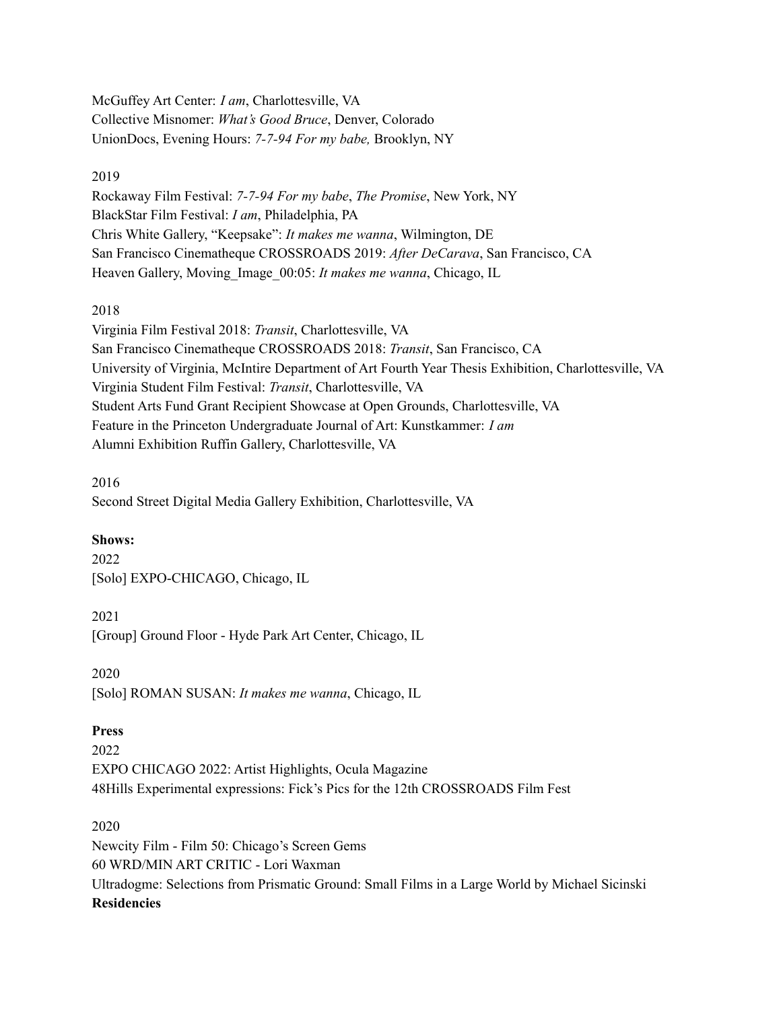McGuffey Art Center: *I am*, Charlottesville, VA Collective Misnomer: *What's Good Bruce*, Denver, Colorado UnionDocs, Evening Hours: *7-7-94 For my babe,* Brooklyn, NY

#### 2019

Rockaway Film Festival: *7-7-94 For my babe*, *The Promise*, New York, NY BlackStar Film Festival: *I am*, Philadelphia, PA Chris White Gallery, "Keepsake": *It makes me wanna*, Wilmington, DE San Francisco Cinematheque CROSSROADS 2019: *After DeCarava*, San Francisco, CA Heaven Gallery, Moving\_Image\_00:05: *It makes me wanna*, Chicago, IL

### 2018

Virginia Film Festival 2018: *Transit*, Charlottesville, VA San Francisco Cinematheque CROSSROADS 2018: *Transit*, San Francisco, CA University of Virginia, McIntire Department of Art Fourth Year Thesis Exhibition, Charlottesville, VA Virginia Student Film Festival: *Transit*, Charlottesville, VA Student Arts Fund Grant Recipient Showcase at Open Grounds, Charlottesville, VA Feature in the Princeton Undergraduate Journal of Art: Kunstkammer: *I am* Alumni Exhibition Ruffin Gallery, Charlottesville, VA

2016 Second Street Digital Media Gallery Exhibition, Charlottesville, VA

# **Shows:**

2022 [Solo] EXPO-CHICAGO, Chicago, IL

2021

[Group] Ground Floor - Hyde Park Art Center, Chicago, IL

2020

[Solo] ROMAN SUSAN: *It makes me wanna*, Chicago, IL

### **Press**

2022 EXPO CHICAGO 2022: Artist Highlights, Ocula Magazine 48Hills Experimental expressions: Fick's Pics for the 12th CROSSROADS Film Fest

### 2020

Newcity Film - Film 50: Chicago's Screen Gems 60 WRD/MIN ART CRITIC - Lori Waxman Ultradogme: Selections from Prismatic Ground: Small Films in a Large World by Michael Sicinski **Residencies**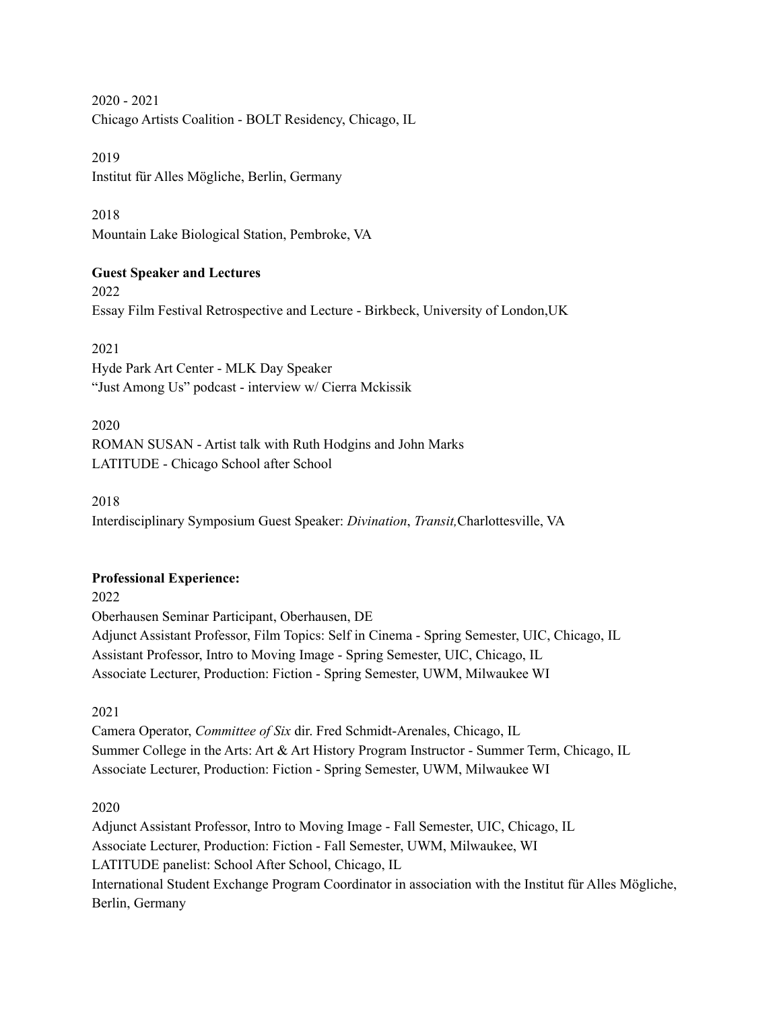2020 - 2021 Chicago Artists Coalition - BOLT Residency, Chicago, IL

2019 Institut für Alles Mögliche, Berlin, Germany

2018 Mountain Lake Biological Station, Pembroke, VA

# **Guest Speaker and Lectures**

2022 Essay Film Festival Retrospective and Lecture - Birkbeck, University of London,UK

2021

Hyde Park Art Center - MLK Day Speaker "Just Among Us" podcast - interview w/ Cierra Mckissik

2020

ROMAN SUSAN - Artist talk with Ruth Hodgins and John Marks LATITUDE - Chicago School after School

2018

Interdisciplinary Symposium Guest Speaker: *Divination*, *Transit,*Charlottesville, VA

### **Professional Experience:**

2022

Oberhausen Seminar Participant, Oberhausen, DE Adjunct Assistant Professor, Film Topics: Self in Cinema - Spring Semester, UIC, Chicago, IL Assistant Professor, Intro to Moving Image - Spring Semester, UIC, Chicago, IL Associate Lecturer, Production: Fiction - Spring Semester, UWM, Milwaukee WI

2021

Camera Operator, *Committee of Six* dir. Fred Schmidt-Arenales, Chicago, IL Summer College in the Arts: Art & Art History Program Instructor - Summer Term, Chicago, IL Associate Lecturer, Production: Fiction - Spring Semester, UWM, Milwaukee WI

2020

Adjunct Assistant Professor, Intro to Moving Image - Fall Semester, UIC, Chicago, IL Associate Lecturer, Production: Fiction - Fall Semester, UWM, Milwaukee, WI LATITUDE panelist: School After School, Chicago, IL International Student Exchange Program Coordinator in association with the Institut für Alles Mögliche, Berlin, Germany